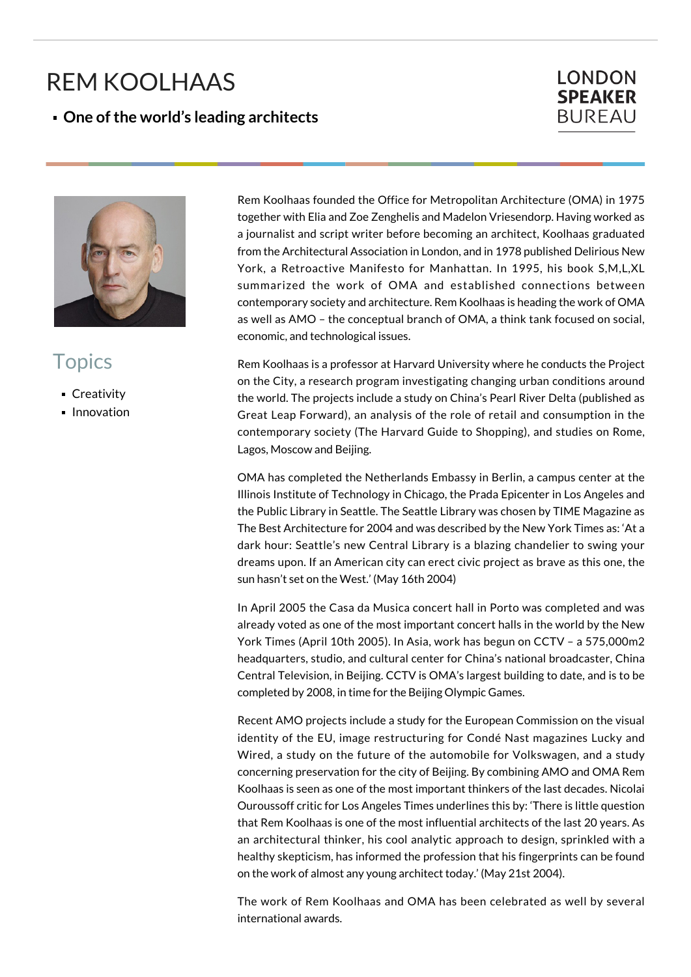## REM KOOLHAAS

**One of the world's leading architects**





## **Topics**

- **Creativity**
- **Innovation**

Rem Koolhaas founded the Office for Metropolitan Architecture (OMA) in 1975 together with Elia and Zoe Zenghelis and Madelon Vriesendorp. Having worked as a journalist and script writer before becoming an architect, Koolhaas graduated from the Architectural Association in London, and in 1978 published Delirious New York, a Retroactive Manifesto for Manhattan. In 1995, his book S,M,L,XL summarized the work of OMA and established connections between contemporary society and architecture. Rem Koolhaas is heading the work of OMA as well as AMO – the conceptual branch of OMA, a think tank focused on social, economic, and technological issues.

Rem Koolhaas is a professor at Harvard University where he conducts the Project on the City, a research program investigating changing urban conditions around the world. The projects include a study on China's Pearl River Delta (published as Great Leap Forward), an analysis of the role of retail and consumption in the contemporary society (The Harvard Guide to Shopping), and studies on Rome, Lagos, Moscow and Beijing.

OMA has completed the Netherlands Embassy in Berlin, a campus center at the Illinois Institute of Technology in Chicago, the Prada Epicenter in Los Angeles and the Public Library in Seattle. The Seattle Library was chosen by TIME Magazine as The Best Architecture for 2004 and was described by the New York Times as: 'At a dark hour: Seattle's new Central Library is a blazing chandelier to swing your dreams upon. If an American city can erect civic project as brave as this one, the sun hasn't set on the West.' (May 16th 2004)

In April 2005 the Casa da Musica concert hall in Porto was completed and was already voted as one of the most important concert halls in the world by the New York Times (April 10th 2005). In Asia, work has begun on CCTV – a 575,000m2 headquarters, studio, and cultural center for China's national broadcaster, China Central Television, in Beijing. CCTV is OMA's largest building to date, and is to be completed by 2008, in time for the Beijing Olympic Games.

Recent AMO projects include a study for the European Commission on the visual identity of the EU, image restructuring for Condé Nast magazines Lucky and Wired, a study on the future of the automobile for Volkswagen, and a study concerning preservation for the city of Beijing. By combining AMO and OMA Rem Koolhaas is seen as one of the most important thinkers of the last decades. Nicolai Ouroussoff critic for Los Angeles Times underlines this by: 'There is little question that Rem Koolhaas is one of the most influential architects of the last 20 years. As an architectural thinker, his cool analytic approach to design, sprinkled with a healthy skepticism, has informed the profession that his fingerprints can be found on the work of almost any young architect today.' (May 21st 2004).

The work of Rem Koolhaas and OMA has been celebrated as well by several international awards.